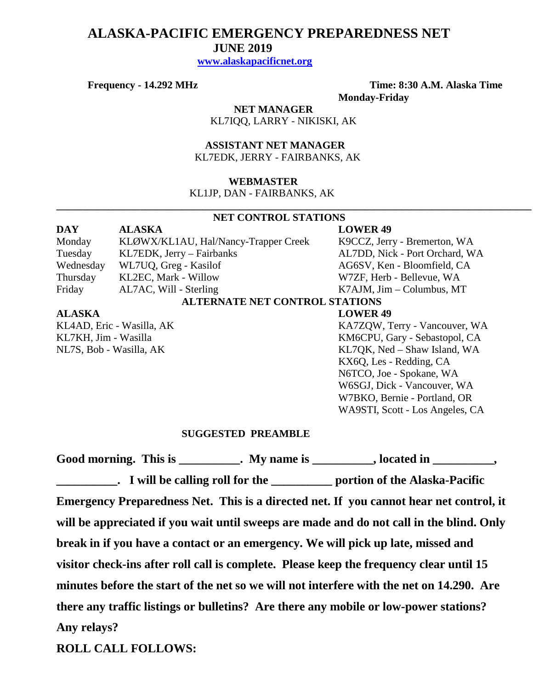# **ALASKA-PACIFIC EMERGENCY PREPAREDNESS NET JUNE 2019**

 **[www.alaskapacificnet.org](http://www.alaskapacificnet.org/)**

**Frequency - 14.292 MHz Time: 8:30 A.M. Alaska Time Monday-Friday**

> **NET MANAGER** KL7IQQ, LARRY - NIKISKI, AK

 **ASSISTANT NET MANAGER**  KL7EDK, JERRY - FAIRBANKS, AK

#### **WEBMASTER**

KL1JP, DAN - FAIRBANKS, AK

#### **NET CONTROL STATIONS**

**\_\_\_\_\_\_\_\_\_\_\_\_\_\_\_\_\_\_\_\_\_\_\_\_\_\_\_\_\_\_\_\_\_\_\_\_\_\_\_\_\_\_\_\_\_\_\_\_\_\_\_\_\_\_\_\_\_\_\_\_\_\_\_\_\_\_\_\_\_\_\_\_\_\_\_\_\_\_\_\_\_\_\_\_\_\_\_\_\_\_\_**

| <b>DAY</b>                | <b>ALASKA</b>                         | <b>LOWER 49</b>                   |
|---------------------------|---------------------------------------|-----------------------------------|
| Monday                    | KLØWX/KL1AU, Hal/Nancy-Trapper Creek  | K9CCZ, Jerry - Bremerton, WA      |
| Tuesday                   | KL7EDK, Jerry - Fairbanks             | AL7DD, Nick - Port Orchard, WA    |
| Wednesday                 | WL7UQ, Greg - Kasilof                 | AG6SV, Ken - Bloomfield, CA       |
| Thursday                  | KL2EC, Mark - Willow                  | W7ZF, Herb - Bellevue, WA         |
| Friday                    | AL7AC, Will - Sterling                | $K7AJM$ , $Jim - Columbus$ , $MT$ |
|                           | <b>ALTERNATE NET CONTROL STATIONS</b> |                                   |
| <b>ALASKA</b>             |                                       | <b>LOWER 49</b>                   |
| KL4AD, Eric - Wasilla, AK |                                       | KA7ZQW, Terry - Vancouver, WA     |
| KL7KH, Jim - Wasilla      |                                       | KM6CPU, Gary - Sebastopol, CA     |
| NL7S, Bob - Wasilla, AK   |                                       | KL7QK, Ned - Shaw Island, WA      |

KX6Q, Les - Redding, CA N6TCO, Joe - Spokane, WA W6SGJ, Dick - Vancouver, WA W7BKO, Bernie - Portland, OR WA9STI, Scott - Los Angeles, CA

#### **SUGGESTED PREAMBLE**

Good morning. This is \_\_\_\_\_\_\_\_\_\_. My name is \_\_\_\_\_\_\_\_\_, located in \_\_\_\_\_\_\_\_\_, **\_\_\_\_\_\_\_\_\_\_. I will be calling roll for the \_\_\_\_\_\_\_\_\_\_ portion of the Alaska-Pacific Emergency Preparedness Net. This is a directed net. If you cannot hear net control, it will be appreciated if you wait until sweeps are made and do not call in the blind. Only break in if you have a contact or an emergency. We will pick up late, missed and visitor check-ins after roll call is complete. Please keep the frequency clear until 15 minutes before the start of the net so we will not interfere with the net on 14.290. Are there any traffic listings or bulletins? Are there any mobile or low-power stations? Any relays?** 

**ROLL CALL FOLLOWS:**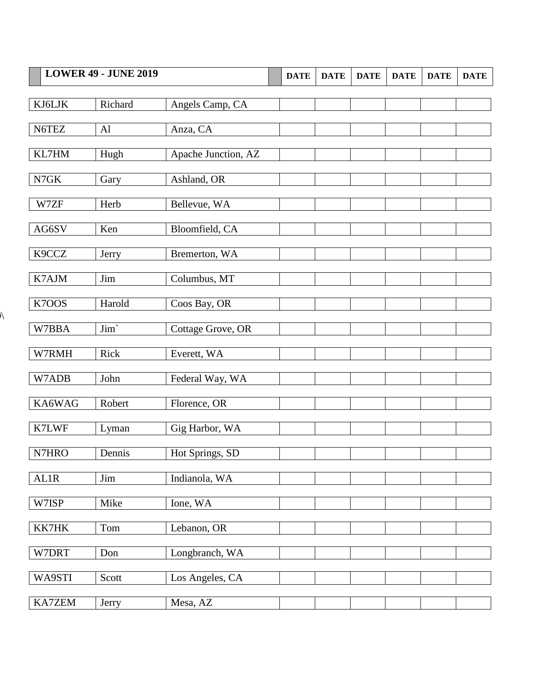| <b>LOWER 49 - JUNE 2019</b> |         | <b>DATE</b>         | <b>DATE</b> | <b>DATE</b> | <b>DATE</b> | <b>DATE</b> | <b>DATE</b> |  |
|-----------------------------|---------|---------------------|-------------|-------------|-------------|-------------|-------------|--|
| KJ6LJK                      | Richard | Angels Camp, CA     |             |             |             |             |             |  |
| N6TEZ                       | Al      | Anza, CA            |             |             |             |             |             |  |
| KL7HM                       | Hugh    | Apache Junction, AZ |             |             |             |             |             |  |
| N7GK                        | Gary    | Ashland, OR         |             |             |             |             |             |  |
| W7ZF                        | Herb    | Bellevue, WA        |             |             |             |             |             |  |
| AG6SV                       | Ken     | Bloomfield, CA      |             |             |             |             |             |  |
| K9CCZ                       | Jerry   | Bremerton, WA       |             |             |             |             |             |  |
| K7AJM                       | Jim     | Columbus, MT        |             |             |             |             |             |  |
| K7OOS                       | Harold  | Coos Bay, OR        |             |             |             |             |             |  |
| W7BBA                       | Jim'    | Cottage Grove, OR   |             |             |             |             |             |  |
| W7RMH                       | Rick    | Everett, WA         |             |             |             |             |             |  |
| W7ADB                       | John    | Federal Way, WA     |             |             |             |             |             |  |
| KA6WAG                      | Robert  | Florence, OR        |             |             |             |             |             |  |
| K7LWF                       | Lyman   | Gig Harbor, WA      |             |             |             |             |             |  |
| N7HRO                       | Dennis  | Hot Springs, SD     |             |             |             |             |             |  |
| AL1R                        | Jim     | Indianola, WA       |             |             |             |             |             |  |
| W7ISP                       | Mike    | Ione, WA            |             |             |             |             |             |  |
| KK7HK                       | Tom     | Lebanon, OR         |             |             |             |             |             |  |
| W7DRT                       | Don     | Longbranch, WA      |             |             |             |             |             |  |
| WA9STI                      | Scott   | Los Angeles, CA     |             |             |             |             |             |  |
| KA7ZEM                      | Jerry   | Mesa, AZ            |             |             |             |             |             |  |

 $\overline{\mathcal{N}}$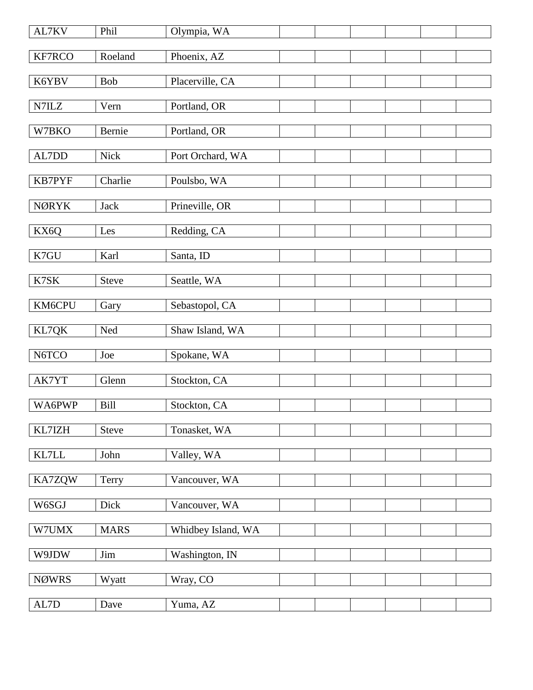| AL7KV         | Phil         | Olympia, WA        |  |  |  |
|---------------|--------------|--------------------|--|--|--|
| KF7RCO        | Roeland      | Phoenix, AZ        |  |  |  |
| K6YBV         | Bob          | Placerville, CA    |  |  |  |
| N7ILZ         | Vern         | Portland, OR       |  |  |  |
| W7BKO         | Bernie       | Portland, OR       |  |  |  |
| AL7DD         | Nick         | Port Orchard, WA   |  |  |  |
| <b>KB7PYF</b> | Charlie      | Poulsbo, WA        |  |  |  |
|               |              |                    |  |  |  |
| <b>NØRYK</b>  | <b>Jack</b>  | Prineville, OR     |  |  |  |
| KX6Q          | Les          | Redding, CA        |  |  |  |
| K7GU          | Karl         | Santa, ID          |  |  |  |
| K7SK          | <b>Steve</b> | Seattle, WA        |  |  |  |
| KM6CPU        | Gary         | Sebastopol, CA     |  |  |  |
| KL7QK         | Ned          | Shaw Island, WA    |  |  |  |
| N6TCO         | Joe          | Spokane, WA        |  |  |  |
| AK7YT         | Glenn        | Stockton, CA       |  |  |  |
| WA6PWP        | <b>Bill</b>  | Stockton, CA       |  |  |  |
| KL7IZH        | <b>Steve</b> | Tonasket, WA       |  |  |  |
| KL7LL         | John         | Valley, WA         |  |  |  |
|               |              |                    |  |  |  |
| KA7ZQW        | Terry        | Vancouver, WA      |  |  |  |
| W6SGJ         | Dick         | Vancouver, WA      |  |  |  |
| W7UMX         | <b>MARS</b>  | Whidbey Island, WA |  |  |  |
| W9JDW         | Jim          | Washington, IN     |  |  |  |
| <b>NØWRS</b>  | Wyatt        | Wray, CO           |  |  |  |
| $\mbox{AL7D}$ | Dave         | Yuma, AZ           |  |  |  |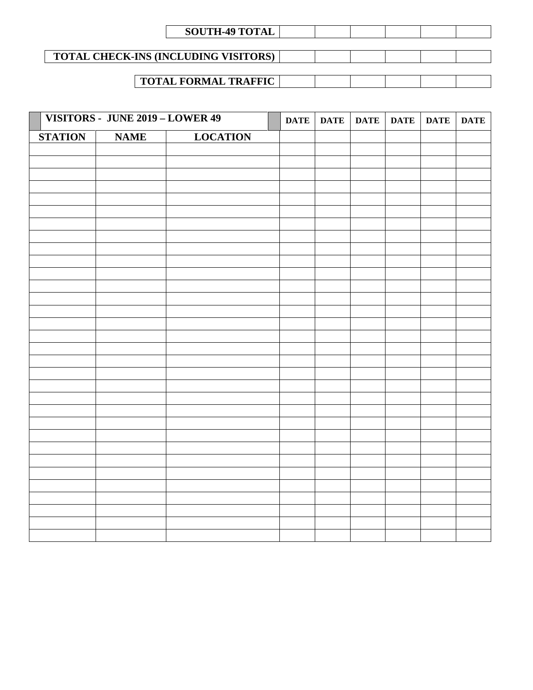| <b>SOUTH-49 TOTAL</b> |  |  |
|-----------------------|--|--|
|-----------------------|--|--|

## **TOTAL CHECK-INS (INCLUDING VISITORS)**

### **TOTAL FORMAL TRAFFIC**

|                | VISITORS - JUNE 2019 - LOWER 49 |                 | <b>DATE</b> | DATE | <b>DATE</b> | <b>DATE</b> | <b>DATE</b> | <b>DATE</b> |
|----------------|---------------------------------|-----------------|-------------|------|-------------|-------------|-------------|-------------|
| <b>STATION</b> | <b>NAME</b>                     | <b>LOCATION</b> |             |      |             |             |             |             |
|                |                                 |                 |             |      |             |             |             |             |
|                |                                 |                 |             |      |             |             |             |             |
|                |                                 |                 |             |      |             |             |             |             |
|                |                                 |                 |             |      |             |             |             |             |
|                |                                 |                 |             |      |             |             |             |             |
|                |                                 |                 |             |      |             |             |             |             |
|                |                                 |                 |             |      |             |             |             |             |
|                |                                 |                 |             |      |             |             |             |             |
|                |                                 |                 |             |      |             |             |             |             |
|                |                                 |                 |             |      |             |             |             |             |
|                |                                 |                 |             |      |             |             |             |             |
|                |                                 |                 |             |      |             |             |             |             |
|                |                                 |                 |             |      |             |             |             |             |
|                |                                 |                 |             |      |             |             |             |             |
|                |                                 |                 |             |      |             |             |             |             |
|                |                                 |                 |             |      |             |             |             |             |
|                |                                 |                 |             |      |             |             |             |             |
|                |                                 |                 |             |      |             |             |             |             |
|                |                                 |                 |             |      |             |             |             |             |
|                |                                 |                 |             |      |             |             |             |             |
|                |                                 |                 |             |      |             |             |             |             |
|                |                                 |                 |             |      |             |             |             |             |
|                |                                 |                 |             |      |             |             |             |             |
|                |                                 |                 |             |      |             |             |             |             |
|                |                                 |                 |             |      |             |             |             |             |
|                |                                 |                 |             |      |             |             |             |             |
|                |                                 |                 |             |      |             |             |             |             |
|                |                                 |                 |             |      |             |             |             |             |
|                |                                 |                 |             |      |             |             |             |             |
|                |                                 |                 |             |      |             |             |             |             |
|                |                                 |                 |             |      |             |             |             |             |
|                |                                 |                 |             |      |             |             |             |             |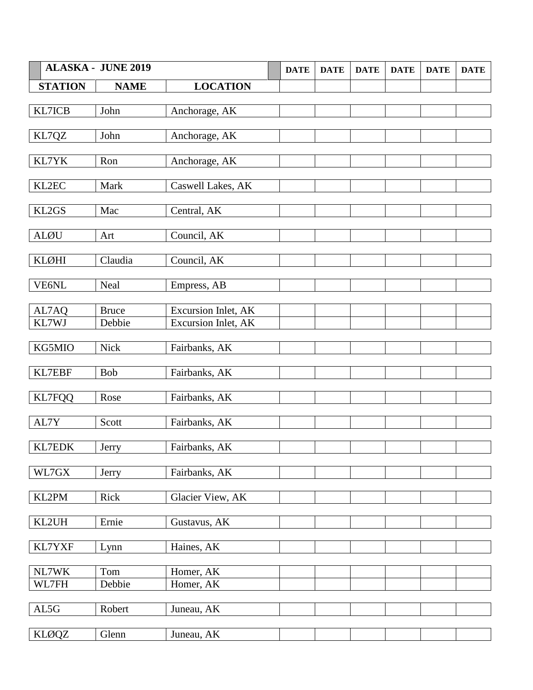|                | <b>ALASKA - JUNE 2019</b> |                     | <b>DATE</b> | <b>DATE</b> | <b>DATE</b> | <b>DATE</b> | <b>DATE</b> | <b>DATE</b> |
|----------------|---------------------------|---------------------|-------------|-------------|-------------|-------------|-------------|-------------|
| <b>STATION</b> | <b>NAME</b>               | <b>LOCATION</b>     |             |             |             |             |             |             |
|                |                           |                     |             |             |             |             |             |             |
| KL7ICB         | John                      | Anchorage, AK       |             |             |             |             |             |             |
| KL7QZ          | John                      | Anchorage, AK       |             |             |             |             |             |             |
|                |                           |                     |             |             |             |             |             |             |
| KL7YK          | Ron                       | Anchorage, AK       |             |             |             |             |             |             |
|                |                           |                     |             |             |             |             |             |             |
| KL2EC          | Mark                      | Caswell Lakes, AK   |             |             |             |             |             |             |
| KL2GS          | Mac                       | Central, AK         |             |             |             |             |             |             |
|                |                           |                     |             |             |             |             |             |             |
| <b>ALØU</b>    | Art                       | Council, AK         |             |             |             |             |             |             |
|                |                           |                     |             |             |             |             |             |             |
| KLØHI          | Claudia                   | Council, AK         |             |             |             |             |             |             |
| VE6NL          | Neal                      | Empress, AB         |             |             |             |             |             |             |
|                |                           |                     |             |             |             |             |             |             |
| AL7AQ          | <b>Bruce</b>              | Excursion Inlet, AK |             |             |             |             |             |             |
| KL7WJ          | Debbie                    | Excursion Inlet, AK |             |             |             |             |             |             |
| KG5MIO         | Nick                      |                     |             |             |             |             |             |             |
|                |                           | Fairbanks, AK       |             |             |             |             |             |             |
| KL7EBF         | <b>Bob</b>                | Fairbanks, AK       |             |             |             |             |             |             |
|                |                           |                     |             |             |             |             |             |             |
| <b>KL7FQQ</b>  | Rose                      | Fairbanks, AK       |             |             |             |             |             |             |
| AL7Y           | Scott                     | Fairbanks, AK       |             |             |             |             |             |             |
|                |                           |                     |             |             |             |             |             |             |
| KL7EDK         | Jerry                     | Fairbanks, AK       |             |             |             |             |             |             |
|                |                           |                     |             |             |             |             |             |             |
| WL7GX          | Jerry                     | Fairbanks, AK       |             |             |             |             |             |             |
| KL2PM          | Rick                      | Glacier View, AK    |             |             |             |             |             |             |
|                |                           |                     |             |             |             |             |             |             |
| KL2UH          | Ernie                     | Gustavus, AK        |             |             |             |             |             |             |
|                |                           |                     |             |             |             |             |             |             |
| KL7YXF         | Lynn                      | Haines, AK          |             |             |             |             |             |             |
| NL7WK          | Tom                       | Homer, AK           |             |             |             |             |             |             |
| WL7FH          | Debbie                    | Homer, AK           |             |             |             |             |             |             |
|                |                           |                     |             |             |             |             |             |             |
| AL5G           | Robert                    | Juneau, AK          |             |             |             |             |             |             |
|                |                           |                     |             |             |             |             |             |             |
| <b>KLØQZ</b>   | Glenn                     | Juneau, AK          |             |             |             |             |             |             |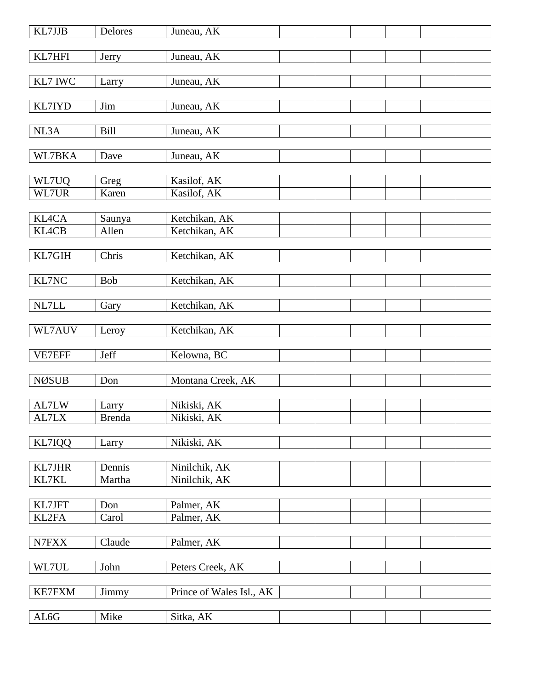| KL7JJB        | Delores       | Juneau, AK               |  |  |  |
|---------------|---------------|--------------------------|--|--|--|
| KL7HFI        | Jerry         | Juneau, AK               |  |  |  |
|               |               |                          |  |  |  |
| KL7 IWC       | Larry         | Juneau, AK               |  |  |  |
| KL7IYD        | Jim           | Juneau, AK               |  |  |  |
|               |               |                          |  |  |  |
| NL3A          | <b>Bill</b>   | Juneau, AK               |  |  |  |
| WL7BKA        | Dave          | Juneau, AK               |  |  |  |
|               |               |                          |  |  |  |
| WL7UQ         | Greg          | Kasilof, AK              |  |  |  |
| WL7UR         | Karen         | Kasilof, AK              |  |  |  |
| <b>KL4CA</b>  | Saunya        | Ketchikan, AK            |  |  |  |
| <b>KL4CB</b>  | Allen         | Ketchikan, AK            |  |  |  |
|               |               |                          |  |  |  |
| KL7GIH        | Chris         | Ketchikan, AK            |  |  |  |
|               |               |                          |  |  |  |
| KL7NC         | <b>Bob</b>    | Ketchikan, AK            |  |  |  |
| NL7LL         | Gary          | Ketchikan, AK            |  |  |  |
|               |               |                          |  |  |  |
| WL7AUV        | Leroy         | Ketchikan, AK            |  |  |  |
| VE7EFF        | Jeff          | Kelowna, BC              |  |  |  |
|               |               |                          |  |  |  |
| <b>NØSUB</b>  | Don           | Montana Creek, AK        |  |  |  |
|               |               |                          |  |  |  |
| AL7LW         | Larry         | Nikiski, AK              |  |  |  |
| AL7LX         | <b>Brenda</b> | Nikiski, AK              |  |  |  |
|               |               |                          |  |  |  |
| KL7IQQ        | Larry         | Nikiski, AK              |  |  |  |
| KL7JHR        | Dennis        | Ninilchik, AK            |  |  |  |
| KL7KL         | Martha        | Ninilchik, AK            |  |  |  |
|               |               |                          |  |  |  |
| KL7JFT        | Don           | Palmer, AK               |  |  |  |
| KL2FA         | Carol         | Palmer, AK               |  |  |  |
|               |               |                          |  |  |  |
| N7FXX         | Claude        | Palmer, AK               |  |  |  |
|               |               |                          |  |  |  |
| WL7UL         | John          | Peters Creek, AK         |  |  |  |
|               |               |                          |  |  |  |
| <b>KE7FXM</b> | Jimmy         | Prince of Wales Isl., AK |  |  |  |
|               |               |                          |  |  |  |
| AL6G          | Mike          | Sitka, AK                |  |  |  |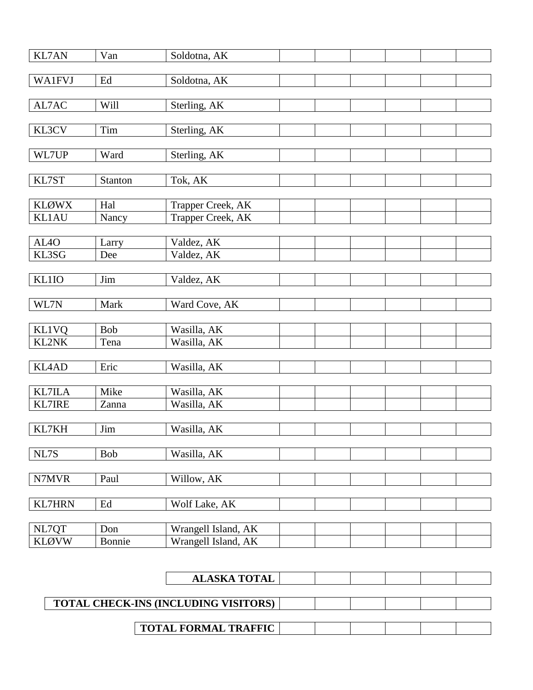| <b>KL7AN</b>      | Van                   | Soldotna, AK             |  |  |  |
|-------------------|-----------------------|--------------------------|--|--|--|
|                   |                       |                          |  |  |  |
| <b>WA1FVJ</b>     | $\operatorname{Ed}$   | Soldotna, AK             |  |  |  |
|                   |                       |                          |  |  |  |
| AL7AC             | Will                  | Sterling, AK             |  |  |  |
|                   |                       |                          |  |  |  |
| KL3CV             | Tim                   | Sterling, AK             |  |  |  |
|                   |                       |                          |  |  |  |
| WL7UP             | Ward                  | Sterling, AK             |  |  |  |
|                   |                       |                          |  |  |  |
| KL7ST             | Stanton               | Tok, AK                  |  |  |  |
|                   |                       |                          |  |  |  |
| <b>KLØWX</b>      | Hal                   | Trapper Creek, AK        |  |  |  |
| <b>KL1AU</b>      | Nancy                 | Trapper Creek, AK        |  |  |  |
| AL <sub>4</sub> O |                       |                          |  |  |  |
| KL3SG             | Larry<br>Dee          | Valdez, AK<br>Valdez, AK |  |  |  |
|                   |                       |                          |  |  |  |
| <b>KL1IO</b>      | Jim                   | Valdez, AK               |  |  |  |
|                   |                       |                          |  |  |  |
| WL7N              | Mark                  | Ward Cove, AK            |  |  |  |
|                   |                       |                          |  |  |  |
| <b>KL1VQ</b>      | <b>Bob</b>            | Wasilla, AK              |  |  |  |
| KL2NK             | Tena                  | Wasilla, AK              |  |  |  |
|                   |                       |                          |  |  |  |
| <b>KL4AD</b>      | Eric                  | Wasilla, AK              |  |  |  |
|                   |                       |                          |  |  |  |
| <b>KL7ILA</b>     | Mike                  | Wasilla, AK              |  |  |  |
| <b>KL7IRE</b>     | Zanna                 | Wasilla, AK              |  |  |  |
|                   |                       |                          |  |  |  |
| KL7KH             | $\mathop{\text{Jim}}$ | Wasilla, AK              |  |  |  |
|                   |                       |                          |  |  |  |
| NL7S              | Bob                   | Wasilla, AK              |  |  |  |
| N7MVR             | Paul                  |                          |  |  |  |
|                   |                       | Willow, AK               |  |  |  |
| <b>KL7HRN</b>     | Ed                    | Wolf Lake, AK            |  |  |  |
|                   |                       |                          |  |  |  |
| NL7QT             | Don                   | Wrangell Island, AK      |  |  |  |
| <b>KLØVW</b>      | Bonnie                | Wrangell Island, AK      |  |  |  |
|                   |                       |                          |  |  |  |

| <b>ALASKA TOTAL</b><br><b>TOTAL CHECK-INS (INCLUDING VISITORS)</b> | <b>TOTAL FORMAL TRAFFIC</b> |  |  |
|--------------------------------------------------------------------|-----------------------------|--|--|